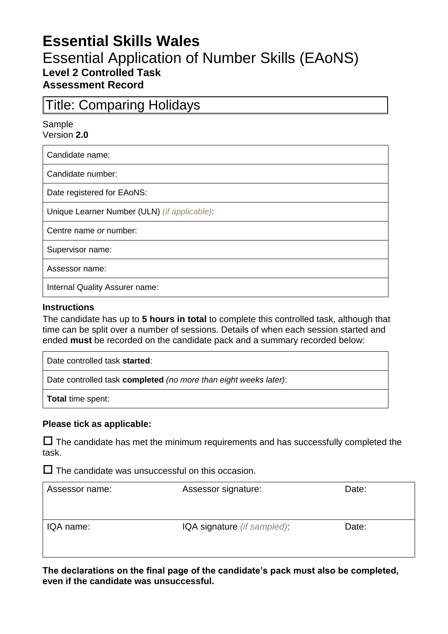# **Essential Skills Wales**

## Essential Application of Number Skills (EAoNS) **Level 2 Controlled Task Assessment Record**

# Title: Comparing Holidays

Sample Version **2.0**

Candidate name:

Candidate number:

Date registered for EAoNS:

Unique Learner Number (ULN) *(if applicable)*:

Centre name *or* number:

Supervisor name:

Assessor name:

Internal Quality Assurer name:

#### **Instructions**

The candidate has up to **5 hours in total** to complete this controlled task, although that time can be split over a number of sessions. Details of when each session started and ended **must** be recorded on the candidate pack and a summary recorded below:

Date controlled task **started**:

Date controlled task **completed** *(no more than eight weeks later)*:

**Total** time spent:

#### **Please tick as applicable:**

 $\Box$  The candidate has met the minimum requirements and has successfully completed the task.

 $\square$  The candidate was unsuccessful on this occasion.

| Assessor name: | Assessor signature:         | Date: |
|----------------|-----------------------------|-------|
| IQA name:      | IQA signature (if sampled): | Date: |

**The declarations on the final page of the candidate's pack must also be completed, even if the candidate was unsuccessful.**